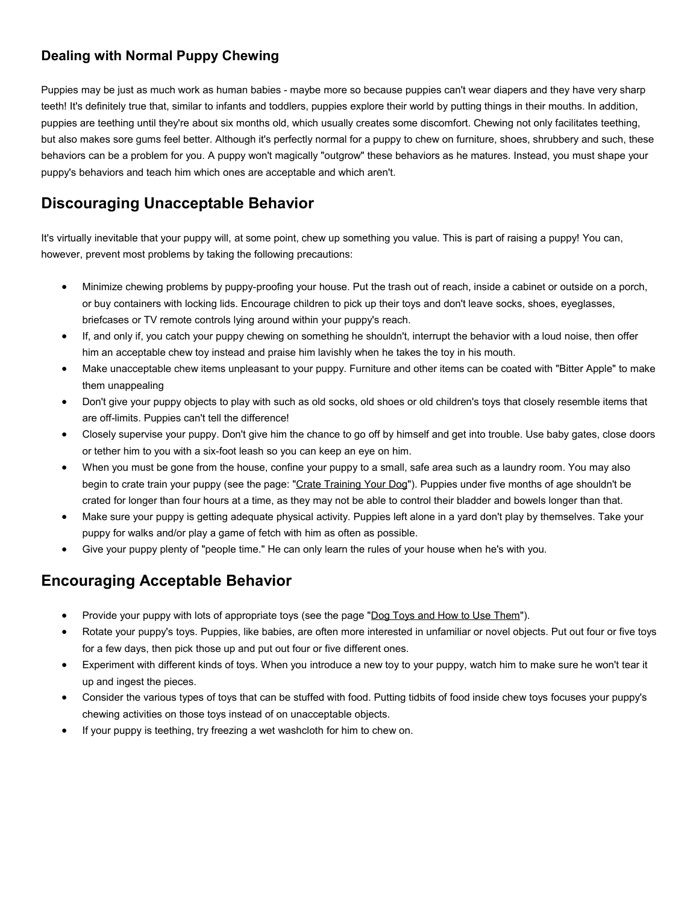## **Dealing with Normal Puppy Chewing**

Puppies may be just as much work as human babies - maybe more so because puppies can't wear diapers and they have very sharp teeth! It's definitely true that, similar to infants and toddlers, puppies explore their world by putting things in their mouths. In addition, puppies are teething until they're about six months old, which usually creates some discomfort. Chewing not only facilitates teething, but also makes sore gums feel better. Although it's perfectly normal for a puppy to chew on furniture, shoes, shrubbery and such, these behaviors can be a problem for you. A puppy won't magically "outgrow" these behaviors as he matures. Instead, you must shape your puppy's behaviors and teach him which ones are acceptable and which aren't.

# **Discouraging Unacceptable Behavior**

It's virtually inevitable that your puppy will, at some point, chew up something you value. This is part of raising a puppy! You can, however, prevent most problems by taking the following precautions:

- Minimize chewing problems by puppy-proofing your house. Put the trash out of reach, inside a cabinet or outside on a porch, or buy containers with locking lids. Encourage children to pick up their toys and don't leave socks, shoes, eyeglasses, briefcases or TV remote controls lying around within your puppy's reach.
- If, and only if, you catch your puppy chewing on something he shouldn't, interrupt the behavior with a loud noise, then offer him an acceptable chew toy instead and praise him lavishly when he takes the toy in his mouth.
- Make unacceptable chew items unpleasant to your puppy. Furniture and other items can be coated with "Bitter Apple" to make them unappealing
- Don't give your puppy objects to play with such as old socks, old shoes or old children's toys that closely resemble items that are off-limits. Puppies can't tell the difference!
- Closely supervise your puppy. Don't give him the chance to go off by himself and get into trouble. Use baby gates, close doors or tether him to you with a six-foot leash so you can keep an eye on him.
- When you must be gone from the house, confine your puppy to a small, safe area such as a laundry room. You may also begin to crate train your puppy (see the page: ["Crate Training Your Dog"](http://www.idahohumanesociety.org/caretrainingtips.cfm?filename=crate)). Puppies under five months of age shouldn't be crated for longer than four hours at a time, as they may not be able to control their bladder and bowels longer than that.
- Make sure your puppy is getting adequate physical activity. Puppies left alone in a yard don't play by themselves. Take your puppy for walks and/or play a game of fetch with him as often as possible.
- Give your puppy plenty of "people time." He can only learn the rules of your house when he's with you.

#### **Encouraging Acceptable Behavior**

- Provide your puppy with lots of appropriate toys (see the page ["Dog Toys and How to Use Them"](http://www.idahohumanesociety.org/caretrainingtips.cfm?filename=dogtoys)).
- Rotate your puppy's toys. Puppies, like babies, are often more interested in unfamiliar or novel objects. Put out four or five toys for a few days, then pick those up and put out four or five different ones.
- Experiment with different kinds of toys. When you introduce a new toy to your puppy, watch him to make sure he won't tear it up and ingest the pieces.
- Consider the various types of toys that can be stuffed with food. Putting tidbits of food inside chew toys focuses your puppy's chewing activities on those toys instead of on unacceptable objects.
- If your puppy is teething, try freezing a wet washcloth for him to chew on.